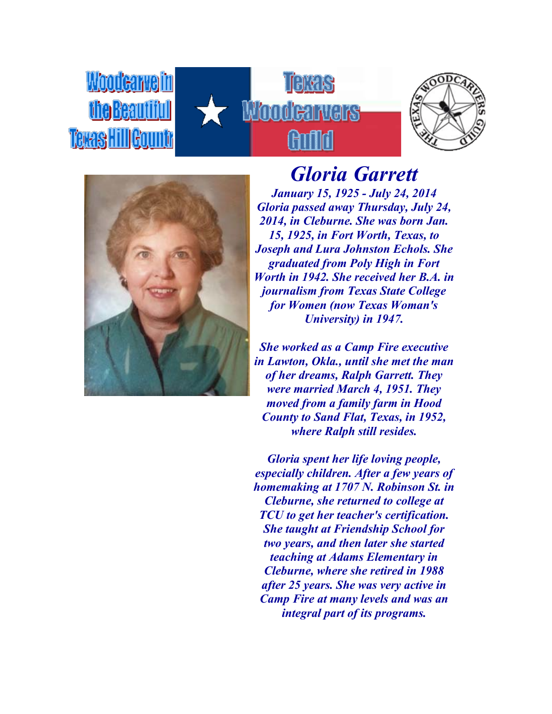





Woodcarveim

the Beautiful

**Texas Hill Gounty** 

## *Gloria Garrett*

*January 15, 1925 - July 24, 2014 Gloria passed away Thursday, July 24, 2014, in Cleburne. She was born Jan. 15, 1925, in Fort Worth, Texas, to Joseph and Lura Johnston Echols. She graduated from Poly High in Fort Worth in 1942. She received her B.A. in journalism from Texas State College for Women (now Texas Woman's University) in 1947.*

*She worked as a Camp Fire executive in Lawton, Okla., until she met the man of her dreams, Ralph Garrett. They were married March 4, 1951. They moved from a family farm in Hood County to Sand Flat, Texas, in 1952, where Ralph still resides.*

*Gloria spent her life loving people, especially children. After a few years of homemaking at 1707 N. Robinson St. in Cleburne, she returned to college at TCU to get her teacher's certification. She taught at Friendship School for two years, and then later she started teaching at Adams Elementary in Cleburne, where she retired in 1988 after 25 years. She was very active in Camp Fire at many levels and was an integral part of its programs.*